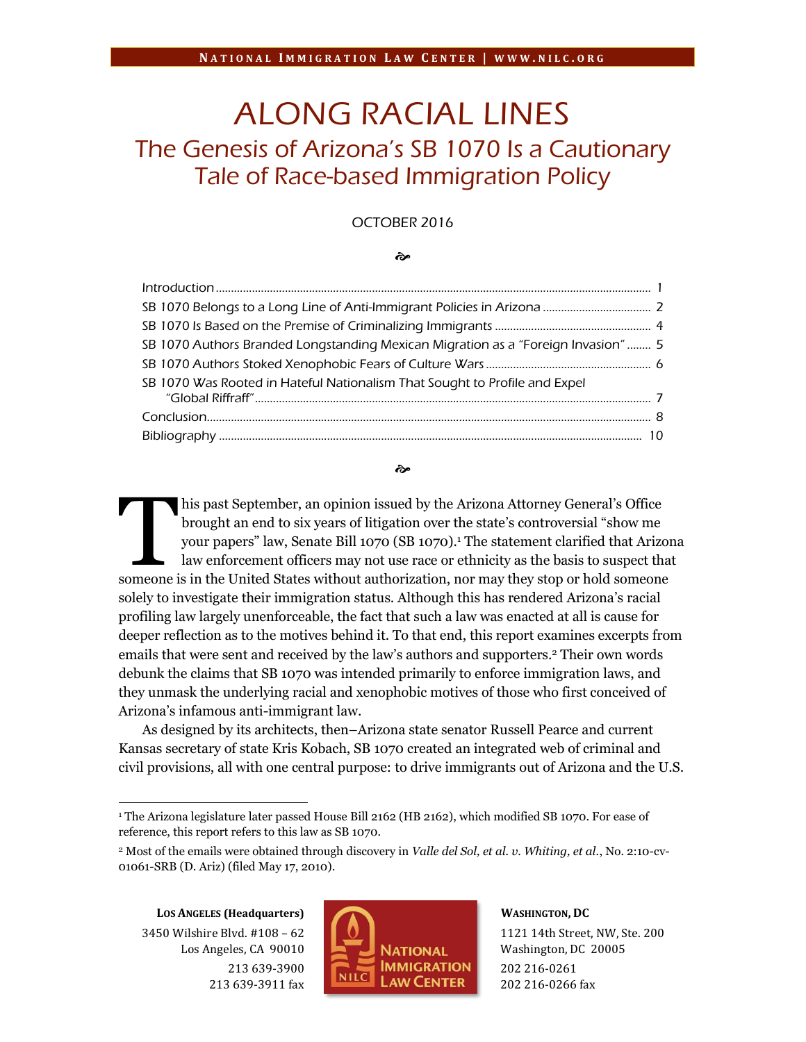# ALONG RACIAL LINES The Genesis of Arizona's SB 1070 Is a Cautionary Tale of Race-based Immigration Policy

## OCTOBER 2016

#### જે

| SB 1070 Authors Branded Longstanding Mexican Migration as a "Foreign Invasion" 5 |  |
|----------------------------------------------------------------------------------|--|
|                                                                                  |  |
| SB 1070 Was Rooted in Hateful Nationalism That Sought to Profile and Expel       |  |
|                                                                                  |  |
|                                                                                  |  |

#### જી

his past September, an opinion issued by the Arizona Attorney General's Office brought an end to six years of litigation over the state's controversial "show me your papers" law, Senate Bill 1070 (SB 1070). <sup>1</sup> The statement clarified that Arizona law enforcement officers may not use race or ethnicity as the basis to suspect that his past September, an opinion issued by the Arizona Attorney General's Office<br>brought an end to six years of litigation over the state's controversial "show me<br>your papers" law, Senate Bill 1070 (SB 1070).<sup>1</sup> The statemen solely to investigate their immigration status. Although this has rendered Arizona's racial profiling law largely unenforceable, the fact that such a law was enacted at all is cause for deeper reflection as to the motives behind it. To that end, this report examines excerpts from emails that were sent and received by the law's authors and supporters.<sup>2</sup> Their own words debunk the claims that SB 1070 was intended primarily to enforce immigration laws, and they unmask the underlying racial and xenophobic motives of those who first conceived of Arizona's infamous anti-immigrant law.

As designed by its architects, then–Arizona state senator Russell Pearce and current Kansas secretary of state Kris Kobach, SB 1070 created an integrated web of criminal and civil provisions, all with one central purpose: to drive immigrants out of Arizona and the U.S.

**LOS ANGELES (Headquarters)** 3450 Wilshire Blvd. #108 – 62 Los Angeles, CA 90010 213 639-3900 213 639-3911 fax

 $\overline{\phantom{a}}$ 



**WASHINGTON, DC**

1121 14th Street, NW, Ste. 200 Washington, DC 20005 202 216-0261 202 216-0266 fax

<sup>&</sup>lt;sup>1</sup> The Arizona legislature later passed House Bill 2162 (HB 2162), which modified SB 1070. For ease of reference, this report refers to this law as SB 1070.

<sup>2</sup> Most of the emails were obtained through discovery in *Valle del Sol, et al. v. Whiting, et al.*, No. 2:10-cv-01061-SRB (D. Ariz) (filed May 17, 2010).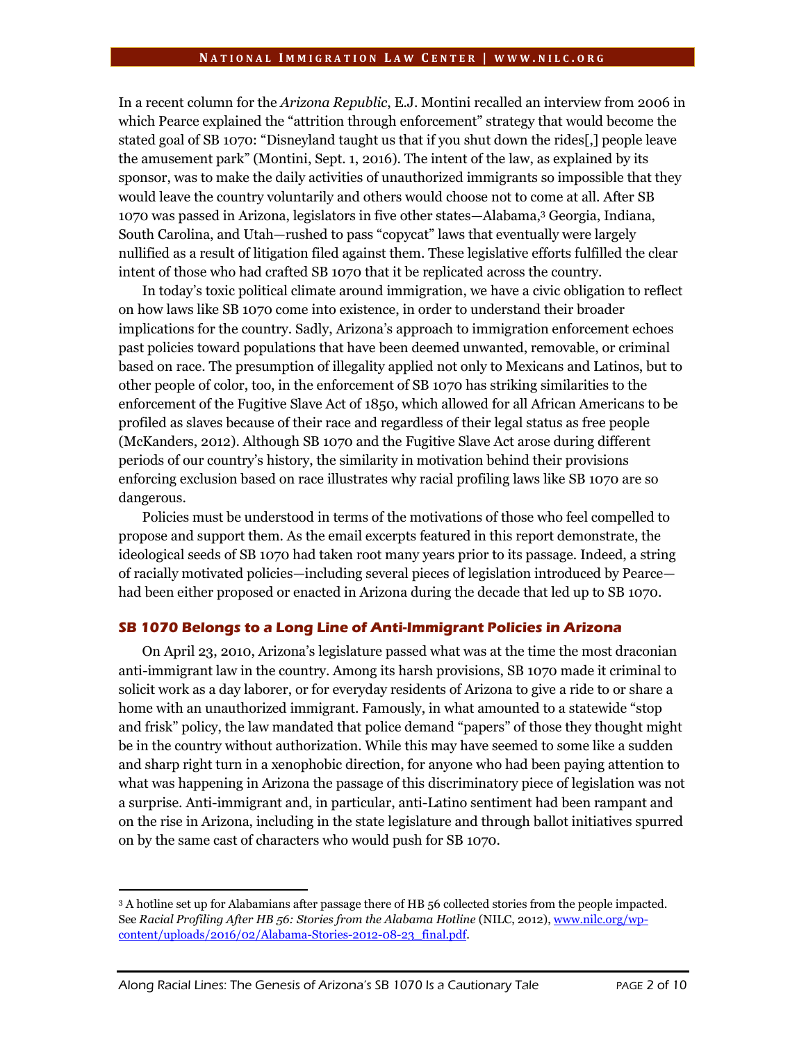In a recent column for the *Arizona Republic*, E.J. Montini recalled an interview from 2006 in which Pearce explained the "attrition through enforcement" strategy that would become the stated goal of SB 1070: "Disneyland taught us that if you shut down the rides[,] people leave the amusement park" (Montini, Sept. 1, 2016). The intent of the law, as explained by its sponsor, was to make the daily activities of unauthorized immigrants so impossible that they would leave the country voluntarily and others would choose not to come at all. After SB 1070 was passed in Arizona, legislators in five other states—Alabama,<sup>3</sup> Georgia, Indiana, South Carolina, and Utah—rushed to pass "copycat" laws that eventually were largely nullified as a result of litigation filed against them. These legislative efforts fulfilled the clear intent of those who had crafted SB 1070 that it be replicated across the country.

In today's toxic political climate around immigration, we have a civic obligation to reflect on how laws like SB 1070 come into existence, in order to understand their broader implications for the country. Sadly, Arizona's approach to immigration enforcement echoes past policies toward populations that have been deemed unwanted, removable, or criminal based on race. The presumption of illegality applied not only to Mexicans and Latinos, but to other people of color, too, in the enforcement of SB 1070 has striking similarities to the enforcement of the Fugitive Slave Act of 1850, which allowed for all African Americans to be profiled as slaves because of their race and regardless of their legal status as free people (McKanders, 2012). Although SB 1070 and the Fugitive Slave Act arose during different periods of our country's history, the similarity in motivation behind their provisions enforcing exclusion based on race illustrates why racial profiling laws like SB 1070 are so dangerous.

Policies must be understood in terms of the motivations of those who feel compelled to propose and support them. As the email excerpts featured in this report demonstrate, the ideological seeds of SB 1070 had taken root many years prior to its passage. Indeed, a string of racially motivated policies—including several pieces of legislation introduced by Pearce had been either proposed or enacted in Arizona during the decade that led up to SB 1070.

#### **SB 1070 Belongs to a Long Line of Anti-Immigrant Policies in Arizona**

On April 23, 2010, Arizona's legislature passed what was at the time the most draconian anti-immigrant law in the country. Among its harsh provisions, SB 1070 made it criminal to solicit work as a day laborer, or for everyday residents of Arizona to give a ride to or share a home with an unauthorized immigrant. Famously, in what amounted to a statewide "stop and frisk" policy, the law mandated that police demand "papers" of those they thought might be in the country without authorization. While this may have seemed to some like a sudden and sharp right turn in a xenophobic direction, for anyone who had been paying attention to what was happening in Arizona the passage of this discriminatory piece of legislation was not a surprise. Anti-immigrant and, in particular, anti-Latino sentiment had been rampant and on the rise in Arizona, including in the state legislature and through ballot initiatives spurred on by the same cast of characters who would push for SB 1070.

 $\overline{\phantom{a}}$ 

<sup>3</sup> A hotline set up for Alabamians after passage there of HB 56 collected stories from the people impacted. See *Racial Profiling After HB 56: Stories from the Alabama Hotline* (NILC, 2012)[, www.nilc.org/wp](http://www.nilc.org/wp-content/uploads/2016/02/Alabama-Stories-2012-08-23_final.pdf)[content/uploads/2016/02/Alabama-Stories-2012-08-23\\_final.pdf.](http://www.nilc.org/wp-content/uploads/2016/02/Alabama-Stories-2012-08-23_final.pdf)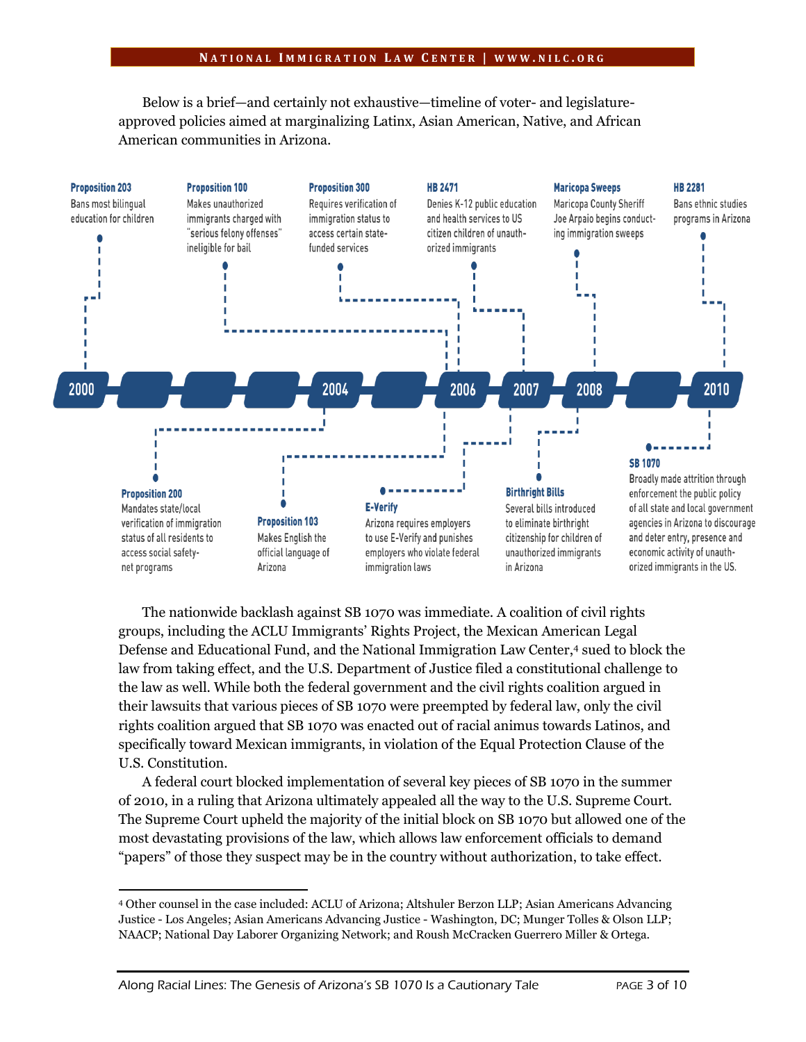Below is a brief—and certainly not exhaustive—timeline of voter- and legislatureapproved policies aimed at marginalizing Latinx, Asian American, Native, and African American communities in Arizona.



The nationwide backlash against SB 1070 was immediate. A coalition of civil rights groups, including the ACLU Immigrants' Rights Project, the Mexican American Legal Defense and Educational Fund, and the National Immigration Law Center,<sup>4</sup> sued to block the law from taking effect, and the U.S. Department of Justice filed a constitutional challenge to the law as well. While both the federal government and the civil rights coalition argued in their lawsuits that various pieces of SB 1070 were preempted by federal law, only the civil rights coalition argued that SB 1070 was enacted out of racial animus towards Latinos, and specifically toward Mexican immigrants, in violation of the Equal Protection Clause of the U.S. Constitution.

A federal court blocked implementation of several key pieces of SB 1070 in the summer of 2010, in a ruling that Arizona ultimately appealed all the way to the U.S. Supreme Court. The Supreme Court upheld the majority of the initial block on SB 1070 but allowed one of the most devastating provisions of the law, which allows law enforcement officials to demand "papers" of those they suspect may be in the country without authorization, to take effect.

 $\overline{\phantom{a}}$ 

<sup>4</sup> Other counsel in the case included: ACLU of Arizona; Altshuler Berzon LLP; Asian Americans Advancing Justice - Los Angeles; Asian Americans Advancing Justice - Washington, DC; Munger Tolles & Olson LLP; NAACP; National Day Laborer Organizing Network; and Roush McCracken Guerrero Miller & Ortega.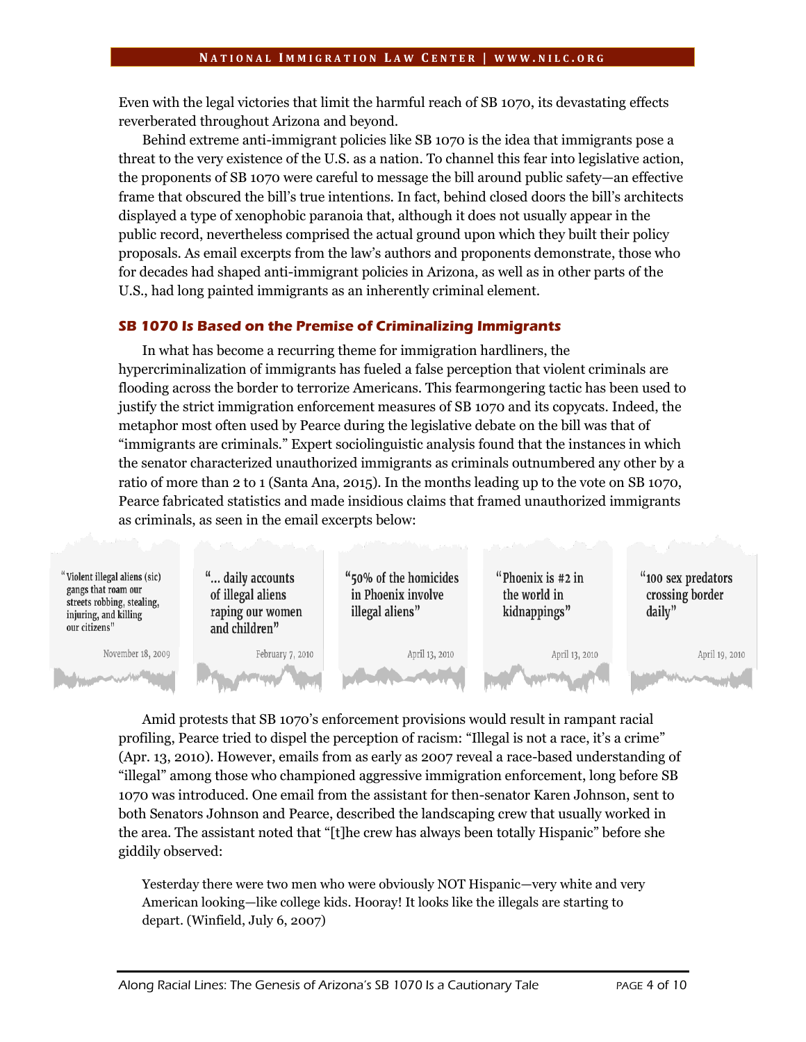Even with the legal victories that limit the harmful reach of SB 1070, its devastating effects reverberated throughout Arizona and beyond.

Behind extreme anti-immigrant policies like SB 1070 is the idea that immigrants pose a threat to the very existence of the U.S. as a nation. To channel this fear into legislative action, the proponents of SB 1070 were careful to message the bill around public safety—an effective frame that obscured the bill's true intentions. In fact, behind closed doors the bill's architects displayed a type of xenophobic paranoia that, although it does not usually appear in the public record, nevertheless comprised the actual ground upon which they built their policy proposals. As email excerpts from the law's authors and proponents demonstrate, those who for decades had shaped anti-immigrant policies in Arizona, as well as in other parts of the U.S., had long painted immigrants as an inherently criminal element.

## **SB 1070 Is Based on the Premise of Criminalizing Immigrants**

In what has become a recurring theme for immigration hardliners, the hypercriminalization of immigrants has fueled a false perception that violent criminals are flooding across the border to terrorize Americans. This fearmongering tactic has been used to justify the strict immigration enforcement measures of SB 1070 and its copycats. Indeed, the metaphor most often used by Pearce during the legislative debate on the bill was that of "immigrants are criminals." Expert sociolinguistic analysis found that the instances in which the senator characterized unauthorized immigrants as criminals outnumbered any other by a ratio of more than 2 to 1 (Santa Ana, 2015). In the months leading up to the vote on SB 1070, Pearce fabricated statistics and made insidious claims that framed unauthorized immigrants as criminals, as seen in the email excerpts below:



Amid protests that SB 1070's enforcement provisions would result in rampant racial profiling, Pearce tried to dispel the perception of racism: "Illegal is not a race, it's a crime" (Apr. 13, 2010). However, emails from as early as 2007 reveal a race-based understanding of "illegal" among those who championed aggressive immigration enforcement, long before SB 1070 was introduced. One email from the assistant for then-senator Karen Johnson, sent to both Senators Johnson and Pearce, described the landscaping crew that usually worked in the area. The assistant noted that "[t]he crew has always been totally Hispanic" before she giddily observed:

Yesterday there were two men who were obviously NOT Hispanic—very white and very American looking—like college kids. Hooray! It looks like the illegals are starting to depart. (Winfield, July 6, 2007)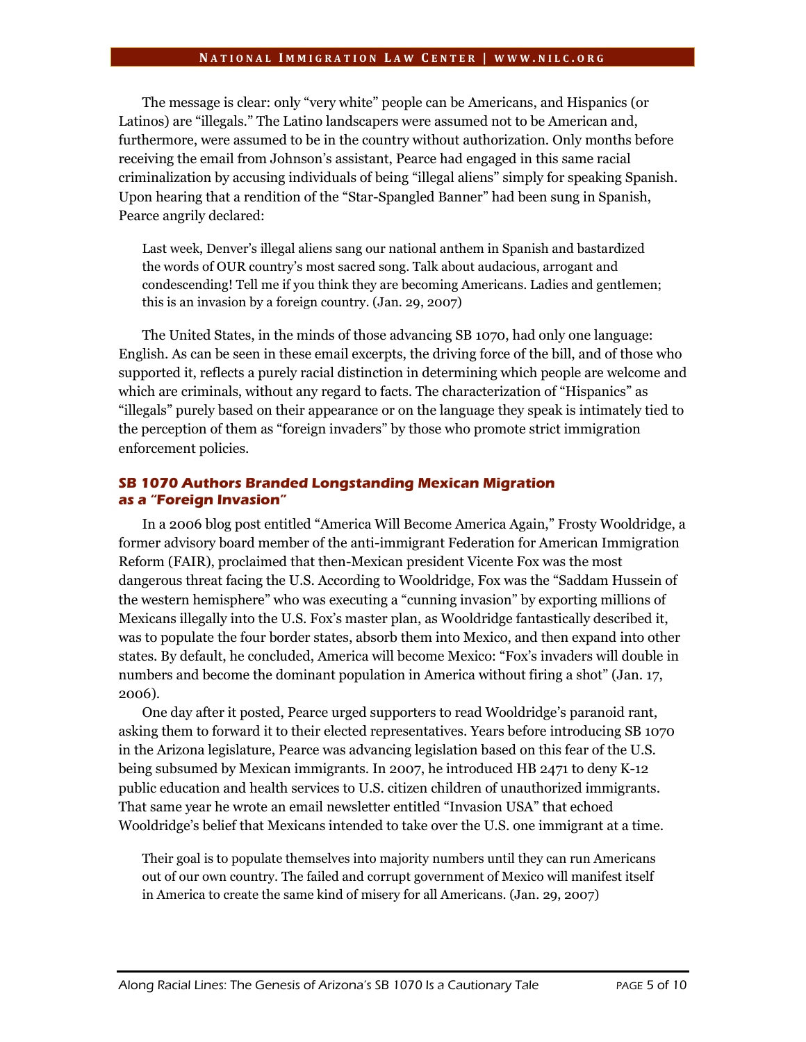The message is clear: only "very white" people can be Americans, and Hispanics (or Latinos) are "illegals." The Latino landscapers were assumed not to be American and, furthermore, were assumed to be in the country without authorization. Only months before receiving the email from Johnson's assistant, Pearce had engaged in this same racial criminalization by accusing individuals of being "illegal aliens" simply for speaking Spanish. Upon hearing that a rendition of the "Star-Spangled Banner" had been sung in Spanish, Pearce angrily declared:

Last week, Denver's illegal aliens sang our national anthem in Spanish and bastardized the words of OUR country's most sacred song. Talk about audacious, arrogant and condescending! Tell me if you think they are becoming Americans. Ladies and gentlemen; this is an invasion by a foreign country. (Jan. 29, 2007)

The United States, in the minds of those advancing SB 1070, had only one language: English. As can be seen in these email excerpts, the driving force of the bill, and of those who supported it, reflects a purely racial distinction in determining which people are welcome and which are criminals, without any regard to facts. The characterization of "Hispanics" as "illegals" purely based on their appearance or on the language they speak is intimately tied to the perception of them as "foreign invaders" by those who promote strict immigration enforcement policies.

# **SB 1070 Authors Branded Longstanding Mexican Migration as a "Foreign Invasion"**

In a 2006 blog post entitled "America Will Become America Again," Frosty Wooldridge, a former advisory board member of the anti-immigrant Federation for American Immigration Reform (FAIR), proclaimed that then-Mexican president Vicente Fox was the most dangerous threat facing the U.S. According to Wooldridge, Fox was the "Saddam Hussein of the western hemisphere" who was executing a "cunning invasion" by exporting millions of Mexicans illegally into the U.S. Fox's master plan, as Wooldridge fantastically described it, was to populate the four border states, absorb them into Mexico, and then expand into other states. By default, he concluded, America will become Mexico: "Fox's invaders will double in numbers and become the dominant population in America without firing a shot" (Jan. 17, 2006).

One day after it posted, Pearce urged supporters to read Wooldridge's paranoid rant, asking them to forward it to their elected representatives. Years before introducing SB 1070 in the Arizona legislature, Pearce was advancing legislation based on this fear of the U.S. being subsumed by Mexican immigrants. In 2007, he introduced HB 2471 to deny K-12 public education and health services to U.S. citizen children of unauthorized immigrants. That same year he wrote an email newsletter entitled "Invasion USA" that echoed Wooldridge's belief that Mexicans intended to take over the U.S. one immigrant at a time.

Their goal is to populate themselves into majority numbers until they can run Americans out of our own country. The failed and corrupt government of Mexico will manifest itself in America to create the same kind of misery for all Americans. (Jan. 29, 2007)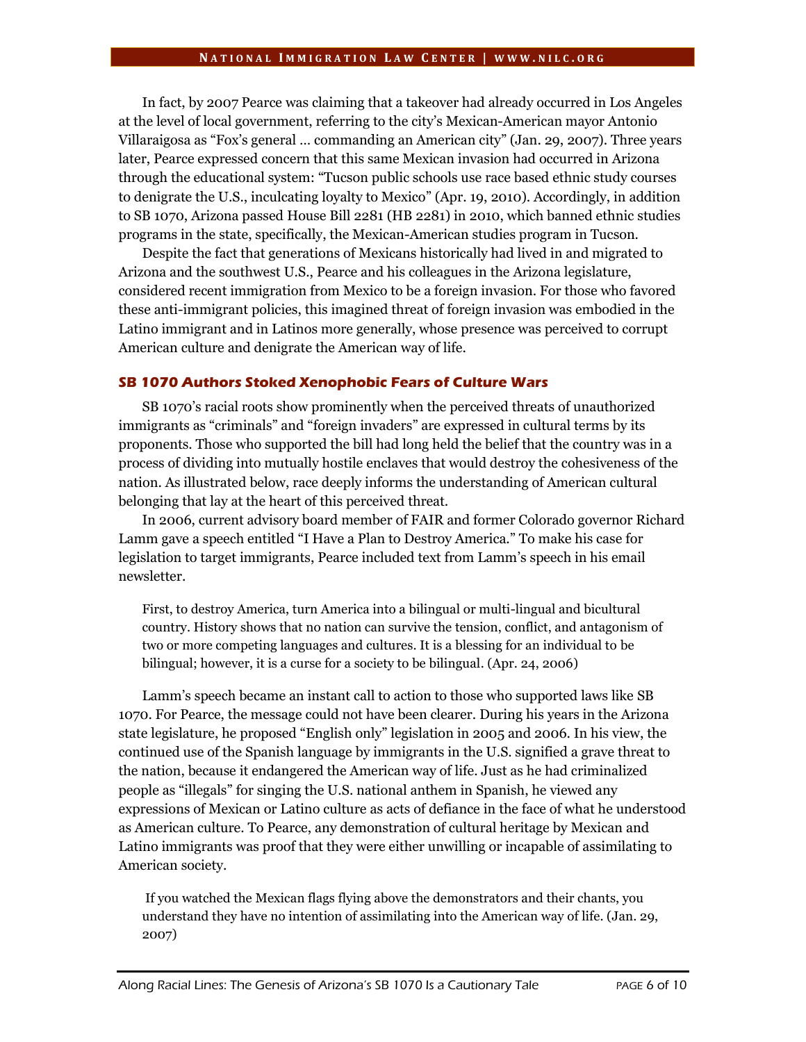In fact, by 2007 Pearce was claiming that a takeover had already occurred in Los Angeles at the level of local government, referring to the city's Mexican-American mayor Antonio Villaraigosa as "Fox's general … commanding an American city" (Jan. 29, 2007). Three years later, Pearce expressed concern that this same Mexican invasion had occurred in Arizona through the educational system: "Tucson public schools use race based ethnic study courses to denigrate the U.S., inculcating loyalty to Mexico" (Apr. 19, 2010). Accordingly, in addition to SB 1070, Arizona passed House Bill 2281 (HB 2281) in 2010, which banned ethnic studies programs in the state, specifically, the Mexican-American studies program in Tucson.

Despite the fact that generations of Mexicans historically had lived in and migrated to Arizona and the southwest U.S., Pearce and his colleagues in the Arizona legislature, considered recent immigration from Mexico to be a foreign invasion. For those who favored these anti-immigrant policies, this imagined threat of foreign invasion was embodied in the Latino immigrant and in Latinos more generally, whose presence was perceived to corrupt American culture and denigrate the American way of life.

# **SB 1070 Authors Stoked Xenophobic Fears of Culture Wars**

SB 1070's racial roots show prominently when the perceived threats of unauthorized immigrants as "criminals" and "foreign invaders" are expressed in cultural terms by its proponents. Those who supported the bill had long held the belief that the country was in a process of dividing into mutually hostile enclaves that would destroy the cohesiveness of the nation. As illustrated below, race deeply informs the understanding of American cultural belonging that lay at the heart of this perceived threat.

In 2006, current advisory board member of FAIR and former Colorado governor Richard Lamm gave a speech entitled "I Have a Plan to Destroy America." To make his case for legislation to target immigrants, Pearce included text from Lamm's speech in his email newsletter.

First, to destroy America, turn America into a bilingual or multi-lingual and bicultural country. History shows that no nation can survive the tension, conflict, and antagonism of two or more competing languages and cultures. It is a blessing for an individual to be bilingual; however, it is a curse for a society to be bilingual. (Apr. 24, 2006)

Lamm's speech became an instant call to action to those who supported laws like SB 1070. For Pearce, the message could not have been clearer. During his years in the Arizona state legislature, he proposed "English only" legislation in 2005 and 2006. In his view, the continued use of the Spanish language by immigrants in the U.S. signified a grave threat to the nation, because it endangered the American way of life. Just as he had criminalized people as "illegals" for singing the U.S. national anthem in Spanish, he viewed any expressions of Mexican or Latino culture as acts of defiance in the face of what he understood as American culture. To Pearce, any demonstration of cultural heritage by Mexican and Latino immigrants was proof that they were either unwilling or incapable of assimilating to American society.

If you watched the Mexican flags flying above the demonstrators and their chants, you understand they have no intention of assimilating into the American way of life. (Jan. 29, 2007)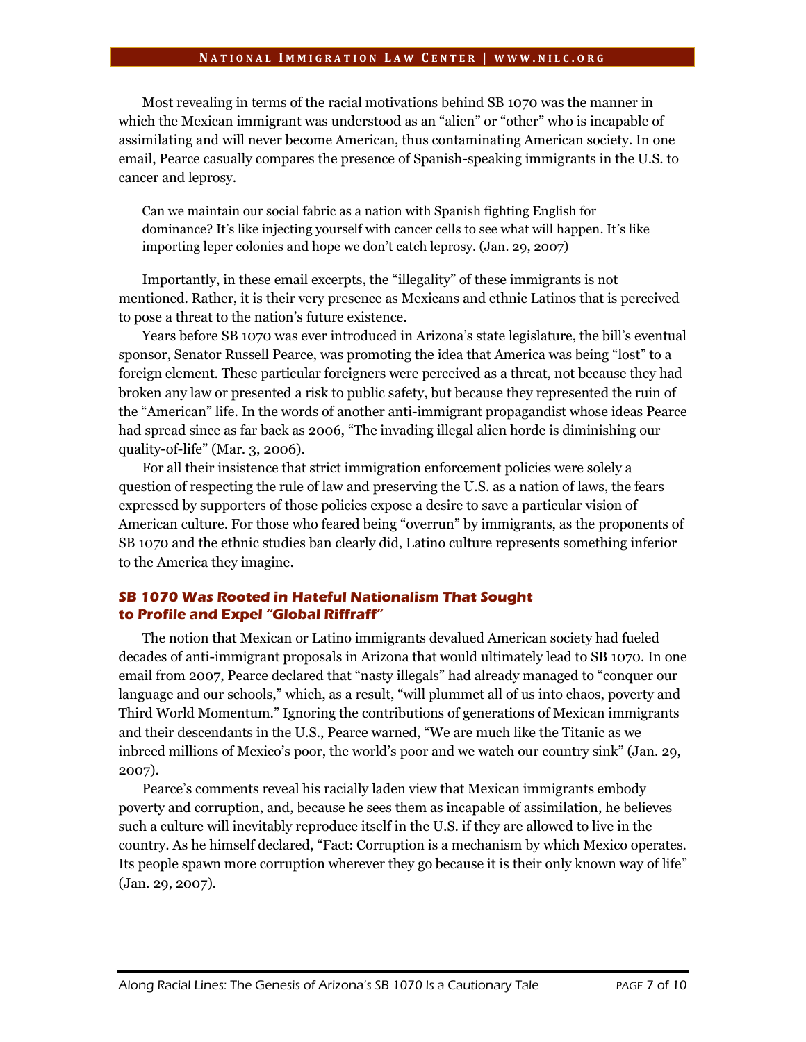Most revealing in terms of the racial motivations behind SB 1070 was the manner in which the Mexican immigrant was understood as an "alien" or "other" who is incapable of assimilating and will never become American, thus contaminating American society. In one email, Pearce casually compares the presence of Spanish-speaking immigrants in the U.S. to cancer and leprosy.

Can we maintain our social fabric as a nation with Spanish fighting English for dominance? It's like injecting yourself with cancer cells to see what will happen. It's like importing leper colonies and hope we don't catch leprosy. (Jan. 29, 2007)

Importantly, in these email excerpts, the "illegality" of these immigrants is not mentioned. Rather, it is their very presence as Mexicans and ethnic Latinos that is perceived to pose a threat to the nation's future existence.

Years before SB 1070 was ever introduced in Arizona's state legislature, the bill's eventual sponsor, Senator Russell Pearce, was promoting the idea that America was being "lost" to a foreign element. These particular foreigners were perceived as a threat, not because they had broken any law or presented a risk to public safety, but because they represented the ruin of the "American" life. In the words of another anti-immigrant propagandist whose ideas Pearce had spread since as far back as 2006, "The invading illegal alien horde is diminishing our quality-of-life" (Mar. 3, 2006).

For all their insistence that strict immigration enforcement policies were solely a question of respecting the rule of law and preserving the U.S. as a nation of laws, the fears expressed by supporters of those policies expose a desire to save a particular vision of American culture. For those who feared being "overrun" by immigrants, as the proponents of SB 1070 and the ethnic studies ban clearly did, Latino culture represents something inferior to the America they imagine.

# **SB 1070 Was Rooted in Hateful Nationalism That Sought to Profile and Expel "Global Riffraff"**

The notion that Mexican or Latino immigrants devalued American society had fueled decades of anti-immigrant proposals in Arizona that would ultimately lead to SB 1070. In one email from 2007, Pearce declared that "nasty illegals" had already managed to "conquer our language and our schools," which, as a result, "will plummet all of us into chaos, poverty and Third World Momentum." Ignoring the contributions of generations of Mexican immigrants and their descendants in the U.S., Pearce warned, "We are much like the Titanic as we inbreed millions of Mexico's poor, the world's poor and we watch our country sink" (Jan. 29, 2007).

Pearce's comments reveal his racially laden view that Mexican immigrants embody poverty and corruption, and, because he sees them as incapable of assimilation, he believes such a culture will inevitably reproduce itself in the U.S. if they are allowed to live in the country. As he himself declared, "Fact: Corruption is a mechanism by which Mexico operates. Its people spawn more corruption wherever they go because it is their only known way of life" (Jan. 29, 2007).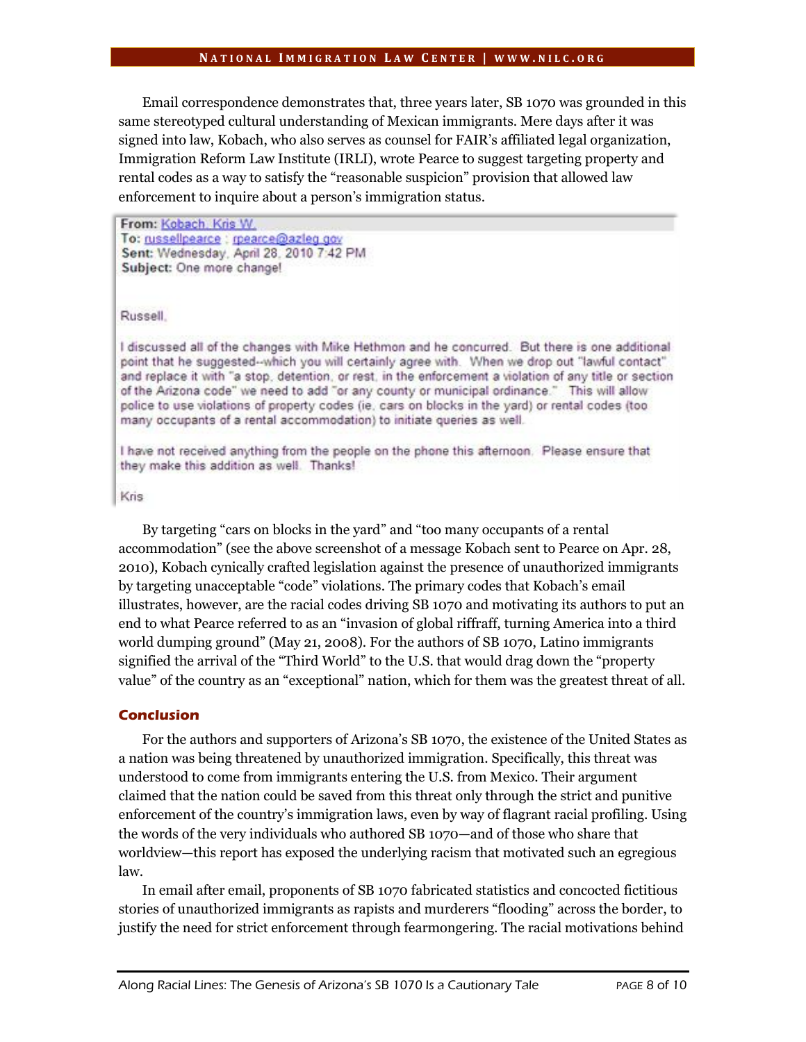Email correspondence demonstrates that, three years later, SB 1070 was grounded in this same stereotyped cultural understanding of Mexican immigrants. Mere days after it was signed into law, Kobach, who also serves as counsel for FAIR's affiliated legal organization, Immigration Reform Law Institute (IRLI), wrote Pearce to suggest targeting property and rental codes as a way to satisfy the "reasonable suspicion" provision that allowed law enforcement to inquire about a person's immigration status.

From: Kobach, Kris W. To: russellpearce : rpearce@azleg.gov Sent: Wednesday, April 28, 2010 7:42 PM Subject: One more change!

Russell.

I discussed all of the changes with Mike Hethmon and he concurred. But there is one additional point that he suggested--which you will certainly agree with. When we drop out "lawful contact" and replace it with "a stop, detention, or rest, in the enforcement a violation of any title or section of the Arizona code" we need to add "or any county or municipal ordinance." This will allow police to use violations of property codes (ie, cars on blocks in the yard) or rental codes (too many occupants of a rental accommodation) to initiate queries as well.

I have not received anything from the people on the phone this afternoon. Please ensure that they make this addition as well. Thanks!

Kris

By targeting "cars on blocks in the yard" and "too many occupants of a rental accommodation" (see the above screenshot of a message Kobach sent to Pearce on Apr. 28, 2010), Kobach cynically crafted legislation against the presence of unauthorized immigrants by targeting unacceptable "code" violations. The primary codes that Kobach's email illustrates, however, are the racial codes driving SB 1070 and motivating its authors to put an end to what Pearce referred to as an "invasion of global riffraff, turning America into a third world dumping ground" (May 21, 2008). For the authors of SB 1070, Latino immigrants signified the arrival of the "Third World" to the U.S. that would drag down the "property value" of the country as an "exceptional" nation, which for them was the greatest threat of all.

#### **Conclusion**

For the authors and supporters of Arizona's SB 1070, the existence of the United States as a nation was being threatened by unauthorized immigration. Specifically, this threat was understood to come from immigrants entering the U.S. from Mexico. Their argument claimed that the nation could be saved from this threat only through the strict and punitive enforcement of the country's immigration laws, even by way of flagrant racial profiling. Using the words of the very individuals who authored SB 1070—and of those who share that worldview—this report has exposed the underlying racism that motivated such an egregious law.

In email after email, proponents of SB 1070 fabricated statistics and concocted fictitious stories of unauthorized immigrants as rapists and murderers "flooding" across the border, to justify the need for strict enforcement through fearmongering. The racial motivations behind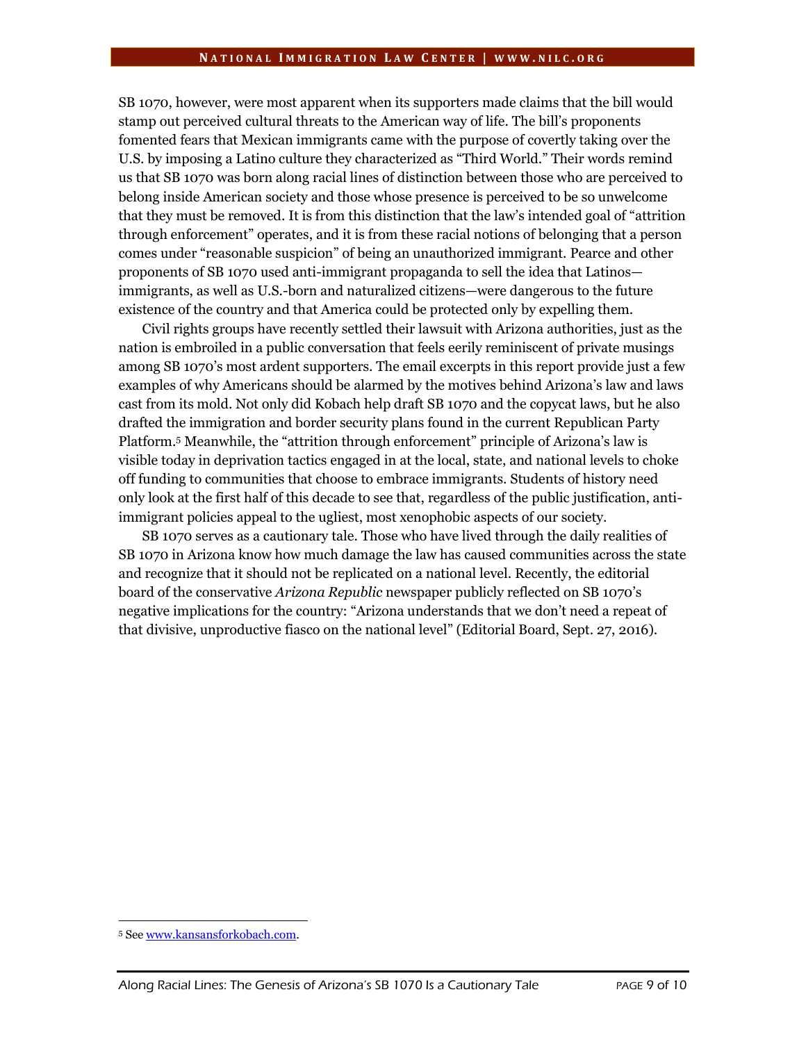SB 1070, however, were most apparent when its supporters made claims that the bill would stamp out perceived cultural threats to the American way of life. The bill's proponents fomented fears that Mexican immigrants came with the purpose of covertly taking over the U.S. by imposing a Latino culture they characterized as "Third World." Their words remind us that SB 1070 was born along racial lines of distinction between those who are perceived to belong inside American society and those whose presence is perceived to be so unwelcome that they must be removed. It is from this distinction that the law's intended goal of "attrition through enforcement" operates, and it is from these racial notions of belonging that a person comes under "reasonable suspicion" of being an unauthorized immigrant. Pearce and other proponents of SB 1070 used anti-immigrant propaganda to sell the idea that Latinos immigrants, as well as U.S.-born and naturalized citizens—were dangerous to the future existence of the country and that America could be protected only by expelling them.

Civil rights groups have recently settled their lawsuit with Arizona authorities, just as the nation is embroiled in a public conversation that feels eerily reminiscent of private musings among SB 1070's most ardent supporters. The email excerpts in this report provide just a few examples of why Americans should be alarmed by the motives behind Arizona's law and laws cast from its mold. Not only did Kobach help draft SB 1070 and the copycat laws, but he also drafted the immigration and border security plans found in the current Republican Party Platform.<sup>5</sup> Meanwhile, the "attrition through enforcement" principle of Arizona's law is visible today in deprivation tactics engaged in at the local, state, and national levels to choke off funding to communities that choose to embrace immigrants. Students of history need only look at the first half of this decade to see that, regardless of the public justification, antiimmigrant policies appeal to the ugliest, most xenophobic aspects of our society.

SB 1070 serves as a cautionary tale. Those who have lived through the daily realities of SB 1070 in Arizona know how much damage the law has caused communities across the state and recognize that it should not be replicated on a national level. Recently, the editorial board of the conservative *Arizona Republic* newspaper publicly reflected on SB 1070's negative implications for the country: "Arizona understands that we don't need a repeat of that divisive, unproductive fiasco on the national level" (Editorial Board, Sept. 27, 2016).

 $\overline{a}$ 

<sup>5</sup> See [www.kansansforkobach.com.](http://www.kansansforkobach.com/)